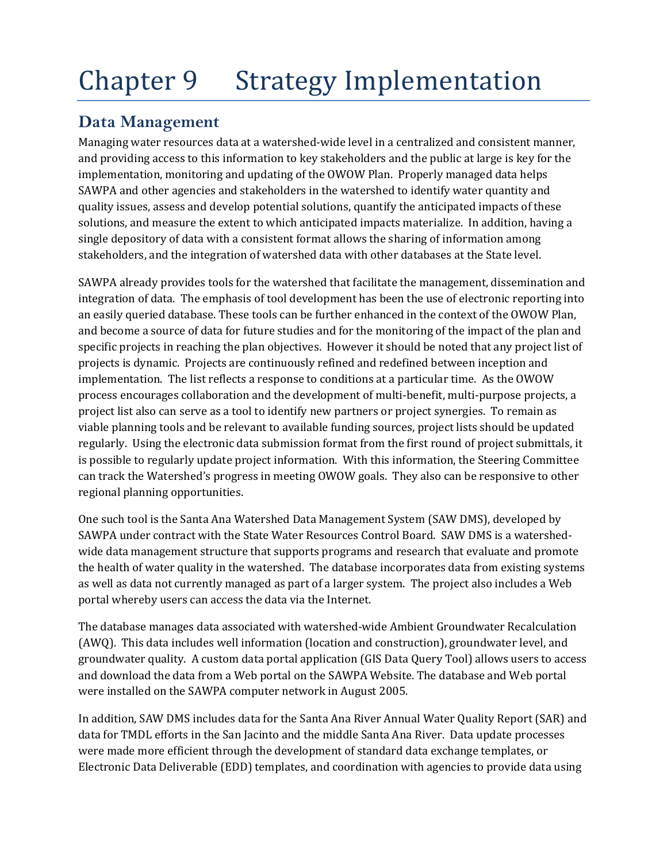# Chapter 9 Strategy Implementation

# **Data Management**

Managing water resources data at a watershed-wide level in a centralized and consistent manner, and providing access to this information to key stakeholders and the public at large is key for the implementation, monitoring and updating of the OWOW Plan. Properly managed data helps SAWPA and other agencies and stakeholders in the watershed to identify water quantity and quality issues, assess and develop potential solutions, quantify the anticipated impacts of these solutions, and measure the extent to which anticipated impacts materialize. In addition, having a single depository of data with a consistent format allows the sharing of information among stakeholders, and the integration of watershed data with other databases at the State level.

SAWPA already provides tools for the watershed that facilitate the management, dissemination and integration of data. The emphasis of tool development has been the use of electronic reporting into an easily queried database. These tools can be further enhanced in the context of the OWOW Plan, and become a source of data for future studies and for the monitoring of the impact of the plan and specific projects in reaching the plan objectives. However it should be noted that any project list of projects is dynamic. Projects are continuously refined and redefined between inception and implementation. The list reflects a response to conditions at a particular time. As the OWOW process encourages collaboration and the development of multi‐benefit, multi‐purpose projects, a project list also can serve as a tool to identify new partners or project synergies. To remain as viable planning tools and be relevant to available funding sources, project lists should be updated regularly. Using the electronic data submission format from the first round of project submittals, it is possible to regularly update project information. With this information, the Steering Committee can track the Watershed's progress in meeting OWOW goals. They also can be responsive to other regional planning opportunities.

One such tool is the Santa Ana Watershed Data Management System (SAW DMS), developed by SAWPA under contract with the State Water Resources Control Board. SAW DMS is a watershed‐ wide data management structure that supports programs and research that evaluate and promote the health of water quality in the watershed. The database incorporates data from existing systems as well as data not currently managed as part of a larger system. The project also includes a Web portal whereby users can access the data via the Internet.

The database manages data associated with watershed‐wide Ambient Groundwater Recalculation (AWQ). This data includes well information (location and construction), groundwater level, and groundwater quality. A custom data portal application (GIS Data Query Tool) allows users to access and download the data from a Web portal on the SAWPA Website. The database and Web portal were installed on the SAWPA computer network in August 2005.

In addition, SAW DMS includes data for the Santa Ana River Annual Water Quality Report (SAR) and data for TMDL efforts in the San Jacinto and the middle Santa Ana River. Data update processes were made more efficient through the development of standard data exchange templates, or Electronic Data Deliverable (EDD) templates, and coordination with agencies to provide data using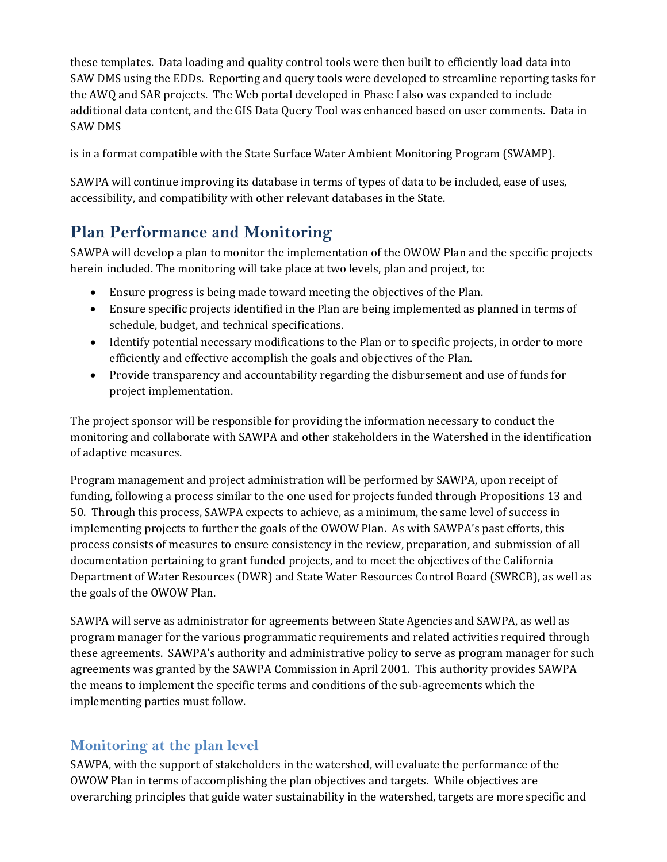these templates. Data loading and quality control tools were then built to efficiently load data into SAW DMS using the EDDs. Reporting and query tools were developed to streamline reporting tasks for the AWQ and SAR projects. The Web portal developed in Phase I also was expanded to include additional data content, and the GIS Data Query Tool was enhanced based on user comments. Data in SAW DMS

is in a format compatible with the State Surface Water Ambient Monitoring Program (SWAMP).

SAWPA will continue improving its database in terms of types of data to be included, ease of uses, accessibility, and compatibility with other relevant databases in the State.

# **Plan Performance and Monitoring**

SAWPA will develop a plan to monitor the implementation of the OWOW Plan and the specific projects herein included. The monitoring will take place at two levels, plan and project, to:

- Ensure progress is being made toward meeting the objectives of the Plan.
- Ensure specific projects identified in the Plan are being implemented as planned in terms of schedule, budget, and technical specifications.
- Identify potential necessary modifications to the Plan or to specific projects, in order to more efficiently and effective accomplish the goals and objectives of the Plan.
- Provide transparency and accountability regarding the disbursement and use of funds for project implementation.

The project sponsor will be responsible for providing the information necessary to conduct the monitoring and collaborate with SAWPA and other stakeholders in the Watershed in the identification of adaptive measures.

Program management and project administration will be performed by SAWPA, upon receipt of funding, following a process similar to the one used for projects funded through Propositions 13 and 50. Through this process, SAWPA expects to achieve, as a minimum, the same level of success in implementing projects to further the goals of the OWOW Plan. As with SAWPA's past efforts, this process consists of measures to ensure consistency in the review, preparation, and submission of all documentation pertaining to grant funded projects, and to meet the objectives of the California Department of Water Resources (DWR) and State Water Resources Control Board (SWRCB), as well as the goals of the OWOW Plan.

SAWPA will serve as administrator for agreements between State Agencies and SAWPA, as well as program manager for the various programmatic requirements and related activities required through these agreements. SAWPA's authority and administrative policy to serve as program manager for such agreements was granted by the SAWPA Commission in April 2001. This authority provides SAWPA the means to implement the specific terms and conditions of the sub‐agreements which the implementing parties must follow.

# **Monitoring at the plan level**

SAWPA, with the support of stakeholders in the watershed, will evaluate the performance of the OWOW Plan in terms of accomplishing the plan objectives and targets. While objectives are overarching principles that guide water sustainability in the watershed, targets are more specific and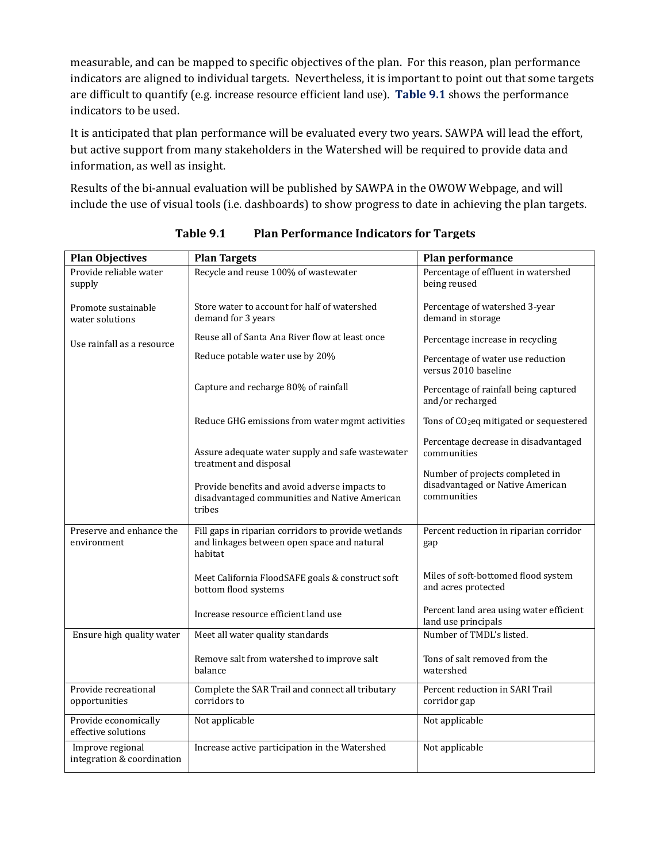measurable, and can be mapped to specific objectives of the plan. For this reason, plan performance indicators are aligned to individual targets. Nevertheless, it is important to point out that some targets are difficult to quantify (e.g. increase resource efficient land use). **Table 9.1** shows the performance indicators to be used.

It is anticipated that plan performance will be evaluated every two years. SAWPA will lead the effort, but active support from many stakeholders in the Watershed will be required to provide data and information, as well as insight.

Results of the bi-annual evaluation will be published by SAWPA in the OWOW Webpage, and will include the use of visual tools (i.e. dashboards) to show progress to date in achieving the plan targets.

| <b>Plan Objectives</b>                         | <b>Plan Targets</b>                                                                                           | <b>Plan performance</b>                                                            |
|------------------------------------------------|---------------------------------------------------------------------------------------------------------------|------------------------------------------------------------------------------------|
| Provide reliable water<br>supply               | Recycle and reuse 100% of wastewater                                                                          | Percentage of effluent in watershed<br>being reused                                |
| Promote sustainable<br>water solutions         | Store water to account for half of watershed<br>demand for 3 years                                            | Percentage of watershed 3-year<br>demand in storage                                |
| Use rainfall as a resource                     | Reuse all of Santa Ana River flow at least once                                                               | Percentage increase in recycling                                                   |
|                                                | Reduce potable water use by 20%                                                                               | Percentage of water use reduction<br>versus 2010 baseline                          |
|                                                | Capture and recharge 80% of rainfall                                                                          | Percentage of rainfall being captured<br>and/or recharged                          |
|                                                | Reduce GHG emissions from water mgmt activities                                                               | Tons of CO <sub>2</sub> eq mitigated or sequestered                                |
|                                                | Assure adequate water supply and safe wastewater<br>treatment and disposal                                    | Percentage decrease in disadvantaged<br>communities                                |
|                                                | Provide benefits and avoid adverse impacts to<br>disadvantaged communities and Native American<br>tribes      | Number of projects completed in<br>disadvantaged or Native American<br>communities |
| Preserve and enhance the<br>environment        | Fill gaps in riparian corridors to provide wetlands<br>and linkages between open space and natural<br>habitat | Percent reduction in riparian corridor<br>gap                                      |
|                                                | Meet California FloodSAFE goals & construct soft<br>bottom flood systems                                      | Miles of soft-bottomed flood system<br>and acres protected                         |
|                                                | Increase resource efficient land use                                                                          | Percent land area using water efficient<br>land use principals                     |
| Ensure high quality water                      | Meet all water quality standards                                                                              | Number of TMDL's listed.                                                           |
|                                                | Remove salt from watershed to improve salt<br>balance                                                         | Tons of salt removed from the<br>watershed                                         |
| Provide recreational<br>opportunities          | Complete the SAR Trail and connect all tributary<br>corridors to                                              | Percent reduction in SARI Trail<br>corridor gap                                    |
| Provide economically<br>effective solutions    | Not applicable                                                                                                | Not applicable                                                                     |
| Improve regional<br>integration & coordination | Increase active participation in the Watershed                                                                | Not applicable                                                                     |

**Table 9.1 Plan Performance Indicators for Targets**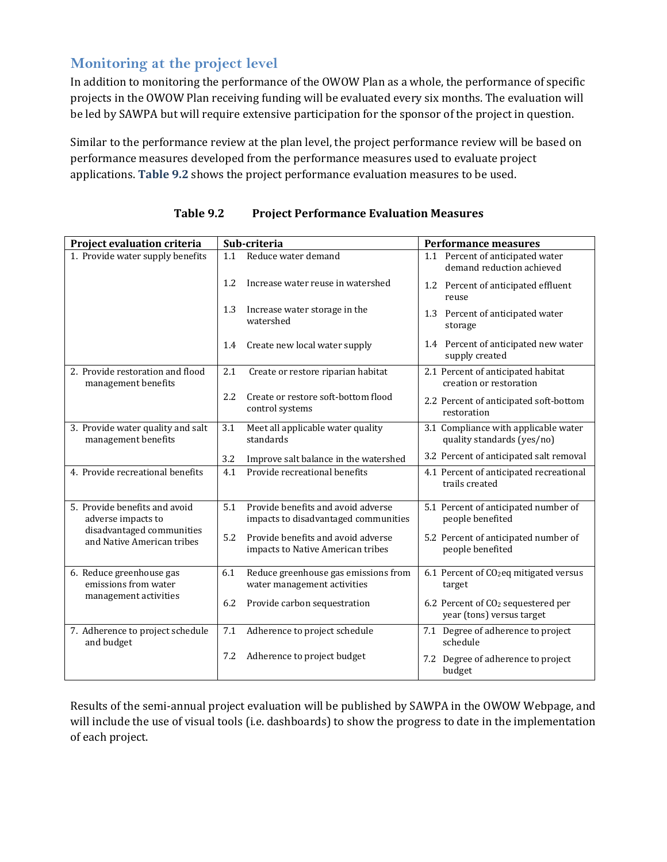## **Monitoring at the project level**

In addition to monitoring the performance of the OWOW Plan as a whole, the performance of specific projects in the OWOW Plan receiving funding will be evaluated every six months. The evaluation will be led by SAWPA but will require extensive participation for the sponsor of the project in question.

Similar to the performance review at the plan level, the project performance review will be based on performance measures developed from the performance measures used to evaluate project applications. **Table 9.2** shows the project performance evaluation measures to be used.

| Project evaluation criteria                              | Sub-criteria                                                                      | <b>Performance measures</b>                                                 |
|----------------------------------------------------------|-----------------------------------------------------------------------------------|-----------------------------------------------------------------------------|
| 1. Provide water supply benefits                         | 1.1<br>Reduce water demand                                                        | 1.1 Percent of anticipated water<br>demand reduction achieved               |
|                                                          | 1.2<br>Increase water reuse in watershed                                          | 1.2 Percent of anticipated effluent<br>reuse                                |
|                                                          | 1.3<br>Increase water storage in the<br>watershed                                 | 1.3 Percent of anticipated water<br>storage                                 |
|                                                          | 1.4<br>Create new local water supply                                              | 1.4 Percent of anticipated new water<br>supply created                      |
| 2. Provide restoration and flood<br>management benefits  | 2.1<br>Create or restore riparian habitat                                         | 2.1 Percent of anticipated habitat<br>creation or restoration               |
|                                                          | 2.2<br>Create or restore soft-bottom flood<br>control systems                     | 2.2 Percent of anticipated soft-bottom<br>restoration                       |
| 3. Provide water quality and salt<br>management benefits | Meet all applicable water quality<br>3.1<br>standards                             | 3.1 Compliance with applicable water<br>quality standards (yes/no)          |
|                                                          | 3.2<br>Improve salt balance in the watershed                                      | 3.2 Percent of anticipated salt removal                                     |
| 4. Provide recreational benefits                         | Provide recreational benefits<br>4.1                                              | 4.1 Percent of anticipated recreational<br>trails created                   |
| 5. Provide benefits and avoid<br>adverse impacts to      | Provide benefits and avoid adverse<br>5.1<br>impacts to disadvantaged communities | 5.1 Percent of anticipated number of<br>people benefited                    |
| disadvantaged communities<br>and Native American tribes  | 5.2<br>Provide benefits and avoid adverse<br>impacts to Native American tribes    | 5.2 Percent of anticipated number of<br>people benefited                    |
| 6. Reduce greenhouse gas<br>emissions from water         | 6.1<br>Reduce greenhouse gas emissions from<br>water management activities        | 6.1 Percent of CO <sub>2</sub> eq mitigated versus<br>target                |
| management activities                                    | 6.2<br>Provide carbon sequestration                                               | 6.2 Percent of CO <sub>2</sub> sequestered per<br>year (tons) versus target |
| 7. Adherence to project schedule<br>and budget           | 7.1<br>Adherence to project schedule                                              | 7.1 Degree of adherence to project<br>schedule                              |
|                                                          | Adherence to project budget<br>7.2                                                | 7.2 Degree of adherence to project<br>budget                                |

#### **Table 9.2 Project Performance Evaluation Measures**

Results of the semi-annual project evaluation will be published by SAWPA in the OWOW Webpage, and will include the use of visual tools (i.e. dashboards) to show the progress to date in the implementation of each project.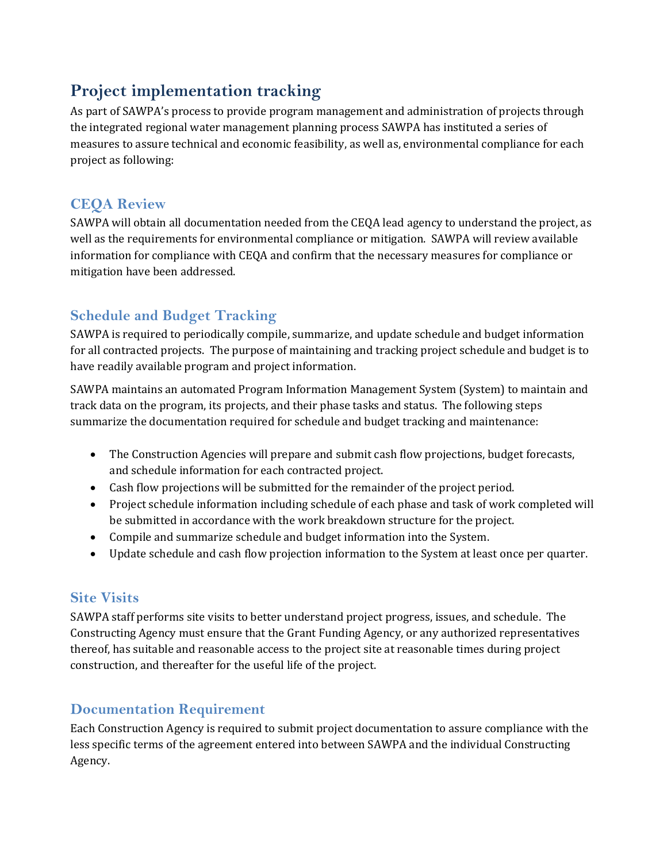# **Project implementation tracking**

As part of SAWPA's process to provide program management and administration of projects through the integrated regional water management planning process SAWPA has instituted a series of measures to assure technical and economic feasibility, as well as, environmental compliance for each project as following:

## **CEQA Review**

SAWPA will obtain all documentation needed from the CEQA lead agency to understand the project, as well as the requirements for environmental compliance or mitigation. SAWPA will review available information for compliance with CEQA and confirm that the necessary measures for compliance or mitigation have been addressed.

# **Schedule and Budget Tracking**

SAWPA is required to periodically compile, summarize, and update schedule and budget information for all contracted projects. The purpose of maintaining and tracking project schedule and budget is to have readily available program and project information.

SAWPA maintains an automated Program Information Management System (System) to maintain and track data on the program, its projects, and their phase tasks and status. The following steps summarize the documentation required for schedule and budget tracking and maintenance:

- The Construction Agencies will prepare and submit cash flow projections, budget forecasts, and schedule information for each contracted project.
- Cash flow projections will be submitted for the remainder of the project period.
- Project schedule information including schedule of each phase and task of work completed will be submitted in accordance with the work breakdown structure for the project.
- Compile and summarize schedule and budget information into the System.
- Update schedule and cash flow projection information to the System at least once per quarter.

#### **Site Visits**

SAWPA staff performs site visits to better understand project progress, issues, and schedule. The Constructing Agency must ensure that the Grant Funding Agency, or any authorized representatives thereof, has suitable and reasonable access to the project site at reasonable times during project construction, and thereafter for the useful life of the project.

#### **Documentation Requirement**

Each Construction Agency is required to submit project documentation to assure compliance with the less specific terms of the agreement entered into between SAWPA and the individual Constructing Agency.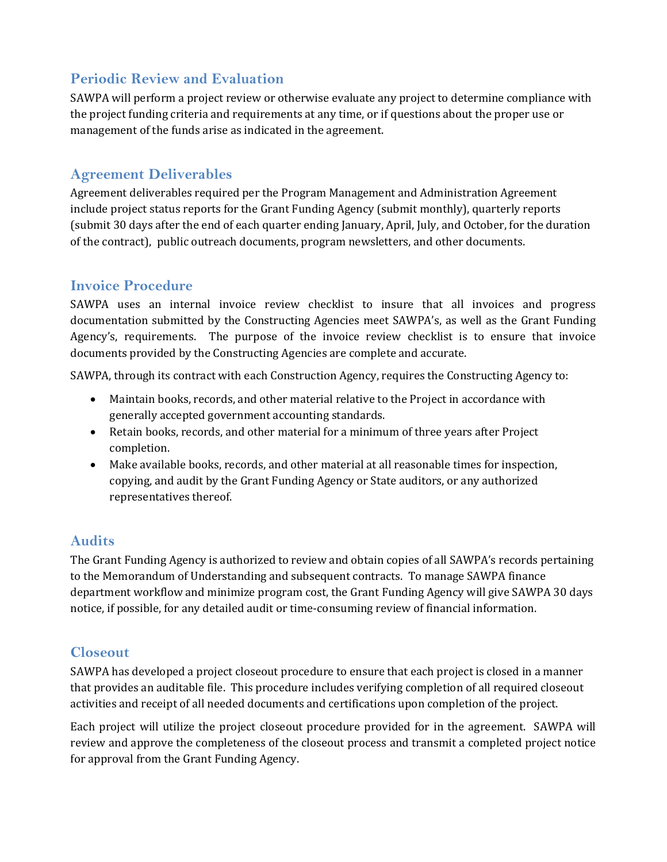# **Periodic Review and Evaluation**

SAWPA will perform a project review or otherwise evaluate any project to determine compliance with the project funding criteria and requirements at any time, or if questions about the proper use or management of the funds arise as indicated in the agreement.

### **Agreement Deliverables**

Agreement deliverables required per the Program Management and Administration Agreement include project status reports for the Grant Funding Agency (submit monthly), quarterly reports (submit 30 days after the end of each quarter ending January, April, July, and October, for the duration of the contract), public outreach documents, program newsletters, and other documents.

#### **Invoice Procedure**

SAWPA uses an internal invoice review checklist to insure that all invoices and progress documentation submitted by the Constructing Agencies meet SAWPA's, as well as the Grant Funding Agency's, requirements. The purpose of the invoice review checklist is to ensure that invoice documents provided by the Constructing Agencies are complete and accurate.

SAWPA, through its contract with each Construction Agency, requires the Constructing Agency to:

- Maintain books, records, and other material relative to the Project in accordance with generally accepted government accounting standards.
- Retain books, records, and other material for a minimum of three years after Project completion.
- Make available books, records, and other material at all reasonable times for inspection, copying, and audit by the Grant Funding Agency or State auditors, or any authorized representatives thereof.

# **Audits**

The Grant Funding Agency is authorized to review and obtain copies of all SAWPA's records pertaining to the Memorandum of Understanding and subsequent contracts. To manage SAWPA finance department workflow and minimize program cost, the Grant Funding Agency will give SAWPA 30 days notice, if possible, for any detailed audit or time‐consuming review of financial information.

#### **Closeout**

SAWPA has developed a project closeout procedure to ensure that each project is closed in a manner that provides an auditable file. This procedure includes verifying completion of all required closeout activities and receipt of all needed documents and certifications upon completion of the project.

Each project will utilize the project closeout procedure provided for in the agreement. SAWPA will review and approve the completeness of the closeout process and transmit a completed project notice for approval from the Grant Funding Agency.